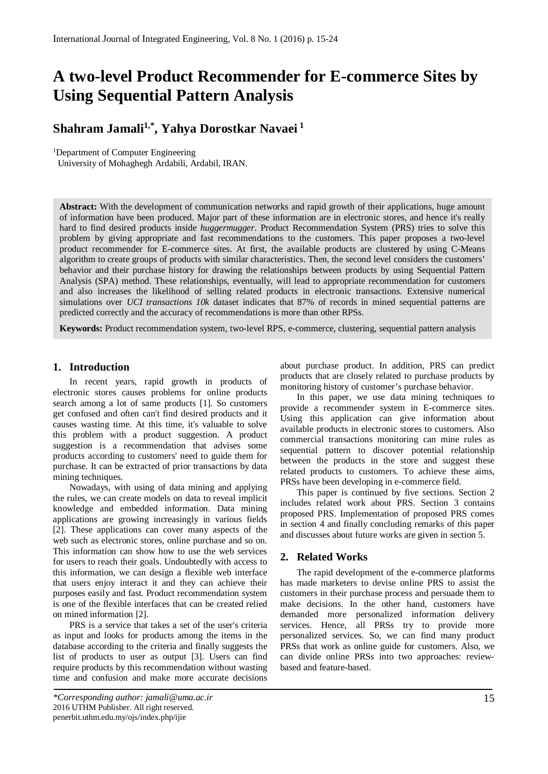# **A two-level Product Recommender for E-commerce Sites by Using Sequential Pattern Analysis**

# **Shahram Jamali1,\*, Yahya Dorostkar Navaei <sup>1</sup>**

<sup>1</sup>Department of Computer Engineering

University of Mohaghegh Ardabili, Ardabil, IRAN.

**Abstract:** With the development of communication networks and rapid growth of their applications, huge amount of information have been produced. Major part of these information are in electronic stores, and hence it's really hard to find desired products inside *huggermugger*. Product Recommendation System (PRS) tries to solve this problem by giving appropriate and fast recommendations to the customers. This paper proposes a two-level product recommender for E-commerce sites. At first, the available products are clustered by using C-Means algorithm to create groups of products with similar characteristics. Then, the second level considers the customers' behavior and their purchase history for drawing the relationships between products by using Sequential Pattern Analysis (SPA) method. These relationships, eventually, will lead to appropriate recommendation for customers and also increases the likelihood of selling related products in electronic transactions. Extensive numerical simulations over *UCI transactions 10k* dataset indicates that 87% of records in mined sequential patterns are predicted correctly and the accuracy of recommendations is more than other RPSs.

**Keywords:** Product recommendation system, two-level RPS, e-commerce, clustering, sequential pattern analysis

## **1. Introduction**

In recent years, rapid growth in products of electronic stores causes problems for online products search among a lot of same products [1]. So customers get confused and often can't find desired products and it causes wasting time. At this time, it's valuable to solve this problem with a product suggestion. A product suggestion is a recommendation that advises some products according to customers' need to guide them for purchase. It can be extracted of prior transactions by data mining techniques.

Nowadays, with using of data mining and applying the rules, we can create models on data to reveal implicit knowledge and embedded information. Data mining applications are growing increasingly in various fields [2]. These applications can cover many aspects of the web such as electronic stores, online purchase and so on. This information can show how to use the web services for users to reach their goals. Undoubtedly with access to this information, we can design a flexible web interface that users enjoy interact it and they can achieve their purposes easily and fast. Product recommendation system is one of the flexible interfaces that can be created relied on mined information [2].

PRS is a service that takes a set of the user's criteria as input and looks for products among the items in the database according to the criteria and finally suggests the list of products to user as output [3]. Users can find require products by this recommendation without wasting time and confusion and make more accurate decisions

about purchase product. In addition, PRS can predict products that are closely related to purchase products by monitoring history of customer's purchase behavior.

In this paper, we use data mining techniques to provide a recommender system in E-commerce sites. Using this application can give information about available products in electronic stores to customers. Also commercial transactions monitoring can mine rules as sequential pattern to discover potential relationship between the products in the store and suggest these related products to customers. To achieve these aims, PRSs have been developing in e-commerce field.

This paper is continued by five sections. Section 2 includes related work about PRS. Section 3 contains proposed PRS. Implementation of proposed PRS comes in section 4 and finally concluding remarks of this paper and discusses about future works are given in section 5.

## **2. Related Works**

The rapid development of the e-commerce platforms has made marketers to devise online PRS to assist the customers in their purchase process and persuade them to make decisions. In the other hand, customers have demanded more personalized information delivery services. Hence, all PRSs try to provide more personalized services. So, we can find many product PRSs that work as online guide for customers. Also, we can divide online PRSs into two approaches: reviewbased and feature-based.

*<sup>\*</sup>Corresponding author: jamali@uma.ac.ir* 2016 UTHM Publisher. All right reserved. penerbit.uthm.edu.my/ojs/index.php/ijie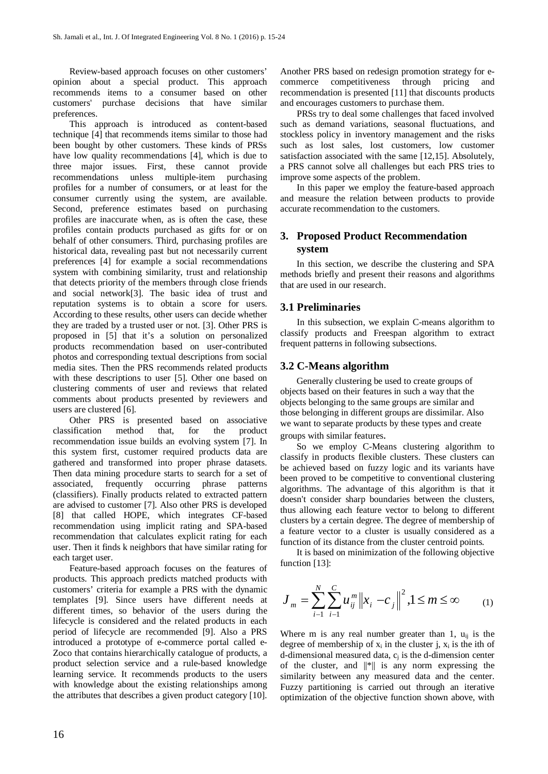Review-based approach focuses on other customers' opinion about a special product. This approach recommends items to a consumer based on other customers' purchase decisions that have similar preferences.

This approach is introduced as content-based technique [4] that recommends items similar to those had been bought by other customers. These kinds of PRSs have low quality recommendations [4], which is due to three major issues. First, these cannot provide recommendations unless multiple-item purchasing profiles for a number of consumers, or at least for the consumer currently using the system, are available. Second, preference estimates based on purchasing profiles are inaccurate when, as is often the case, these profiles contain products purchased as gifts for or on behalf of other consumers. Third, purchasing profiles are historical data, revealing past but not necessarily current preferences [4] for example a social recommendations system with combining similarity, trust and relationship that detects priority of the members through close friends and social network[3]. The basic idea of trust and reputation systems is to obtain a score for users. According to these results, other users can decide whether they are traded by a trusted user or not. [3]. Other PRS is proposed in [5] that it's a solution on personalized products recommendation based on user-contributed photos and corresponding textual descriptions from social media sites. Then the PRS recommends related products with these descriptions to user [5]. Other one based on clustering comments of user and reviews that related comments about products presented by reviewers and users are clustered [6].

Other PRS is presented based on associative classification method that, for the product recommendation issue builds an evolving system [7]. In this system first, customer required products data are gathered and transformed into proper phrase datasets. Then data mining procedure starts to search for a set of associated, frequently occurring phrase patterns (classifiers). Finally products related to extracted pattern are advised to customer [7]. Also other PRS is developed [8] that called HOPE, which integrates CF-based recommendation using implicit rating and SPA-based recommendation that calculates explicit rating for each user. Then it finds k neighbors that have similar rating for each target user.

Feature-based approach focuses on the features of products. This approach predicts matched products with customers' criteria for example a PRS with the dynamic templates [9]. Since users have different needs at different times, so behavior of the users during the lifecycle is considered and the related products in each period of lifecycle are recommended [9]. Also a PRS introduced a prototype of e-commerce portal called e-Zoco that contains hierarchically catalogue of products, a product selection service and a rule-based knowledge learning service. It recommends products to the users with knowledge about the existing relationships among the attributes that describes a given product category [10].

Another PRS based on redesign promotion strategy for ecommerce competitiveness through pricing and recommendation is presented [11] that discounts products and encourages customers to purchase them.

PRSs try to deal some challenges that faced involved such as demand variations, seasonal fluctuations, and stockless policy in inventory management and the risks such as lost sales, lost customers, low customer satisfaction associated with the same [12,15]. Absolutely, a PRS cannot solve all challenges but each PRS tries to improve some aspects of the problem.

In this paper we employ the feature-based approach and measure the relation between products to provide accurate recommendation to the customers.

# **3. Proposed Product Recommendation system**

In this section, we describe the clustering and SPA methods briefly and present their reasons and algorithms that are used in our research.

## **3.1 Preliminaries**

In this subsection, we explain C-means algorithm to classify products and Freespan algorithm to extract frequent patterns in following subsections.

## **3.2 C-Means algorithm**

Generally clustering be used to create groups of objects based on their features in such a way that the objects belonging to the same groups are similar and those belonging in different groups are dissimilar. Also we want to separate products by these types and create groups with similar features.

So we employ C-Means clustering algorithm to classify in products flexible clusters. These clusters can be achieved based on fuzzy logic and its variants have been proved to be competitive to conventional clustering algorithms. The advantage of this algorithm is that it doesn't consider sharp boundaries between the clusters, thus allowing each feature vector to belong to different clusters by a certain degree. The degree of membership of a feature vector to a cluster is usually considered as a function of its distance from the cluster centroid points.

It is based on minimization of the following objective function [13]:

$$
J_m = \sum_{i=1}^{N} \sum_{j=1}^{C} u_{ij}^{m} \|x_i - c_j\|^2, 1 \le m \le \infty
$$
 (1)

Where m is any real number greater than 1,  $u_{ii}$  is the degree of membership of  $x_i$  in the cluster j,  $x_i$  is the ith of d-dimensional measured data,  $c_i$  is the d-dimension center of the cluster, and  $\|\cdot\|$  is any norm expressing the similarity between any measured data and the center. Fuzzy partitioning is carried out through an iterative optimization of the objective function shown above, with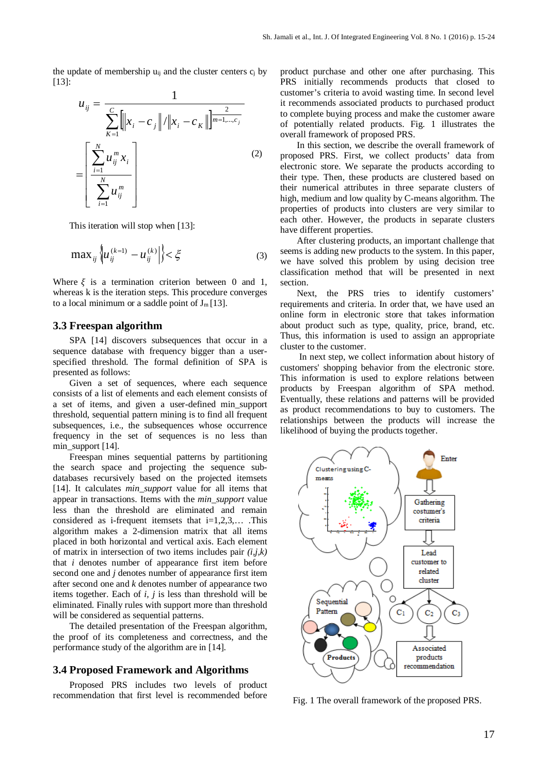the update of membership  $u_{ij}$  and the cluster centers  $c_i$  by [13]:

$$
u_{ij} = \frac{1}{\sum_{K=1}^{C} ||x_i - c_j|| / ||x_i - c_K||^{\frac{2}{m-1,\dots,c_j}}}
$$
  
= 
$$
\left[\frac{\sum_{i=1}^{N} u_{ij}^m x_i}{\sum_{i=1}^{N} u_{ij}^m}\right]
$$
 (2)

This iteration will stop when [13]:

$$
\max_{ij} \left\{ u_{ij}^{(k=1)} - u_{ij}^{(k)} \right\} < \xi \tag{3}
$$

Where  $\xi$  is a termination criterion between 0 and 1, whereas k is the iteration steps. This procedure converges to a local minimum or a saddle point of  $J_m[13]$ .

## **3.3 Freespan algorithm**

SPA [14] discovers subsequences that occur in a sequence database with frequency bigger than a userspecified threshold. The formal definition of SPA is presented as follows:

Given a set of sequences, where each sequence consists of a list of elements and each element consists of a set of items, and given a user-defined min\_support threshold, sequential pattern mining is to find all frequent subsequences, i.e., the subsequences whose occurrence frequency in the set of sequences is no less than min\_support [14].

Freespan mines sequential patterns by partitioning the search space and projecting the sequence subdatabases recursively based on the projected itemsets [14]. It calculates *min\_support* value for all items that appear in transactions. Items with the *min\_support* value less than the threshold are eliminated and remain considered as i-frequent itemsets that  $i=1,2,3,...$  . This algorithm makes a 2-dimension matrix that all items placed in both horizontal and vertical axis. Each element of matrix in intersection of two items includes pair *(i,j,k)*  that *i* denotes number of appearance first item before second one and *j* denotes number of appearance first item after second one and *k* denotes number of appearance two items together. Each of *i, j* is less than threshold will be eliminated. Finally rules with support more than threshold will be considered as sequential patterns.

The detailed presentation of the Freespan algorithm, the proof of its completeness and correctness, and the performance study of the algorithm are in [14].

#### **3.4 Proposed Framework and Algorithms**

Proposed PRS includes two levels of product recommendation that first level is recommended before

product purchase and other one after purchasing. This PRS initially recommends products that closed to customer's criteria to avoid wasting time. In second level it recommends associated products to purchased product to complete buying process and make the customer aware of potentially related products. Fig. 1 illustrates the overall framework of proposed PRS.

In this section, we describe the overall framework of proposed PRS. First, we collect products' data from electronic store. We separate the products according to their type. Then, these products are clustered based on their numerical attributes in three separate clusters of high, medium and low quality by C-means algorithm. The properties of products into clusters are very similar to each other. However, the products in separate clusters have different properties.

After clustering products, an important challenge that seems is adding new products to the system. In this paper, we have solved this problem by using decision tree classification method that will be presented in next section.

Next, the PRS tries to identify customers' requirements and criteria. In order that, we have used an online form in electronic store that takes information about product such as type, quality, price, brand, etc. Thus, this information is used to assign an appropriate cluster to the customer.

In next step, we collect information about history of customers' shopping behavior from the electronic store. This information is used to explore relations between products by Freespan algorithm of SPA method. Eventually, these relations and patterns will be provided as product recommendations to buy to customers. The relationships between the products will increase the likelihood of buying the products together.



Fig. 1 The overall framework of the proposed PRS.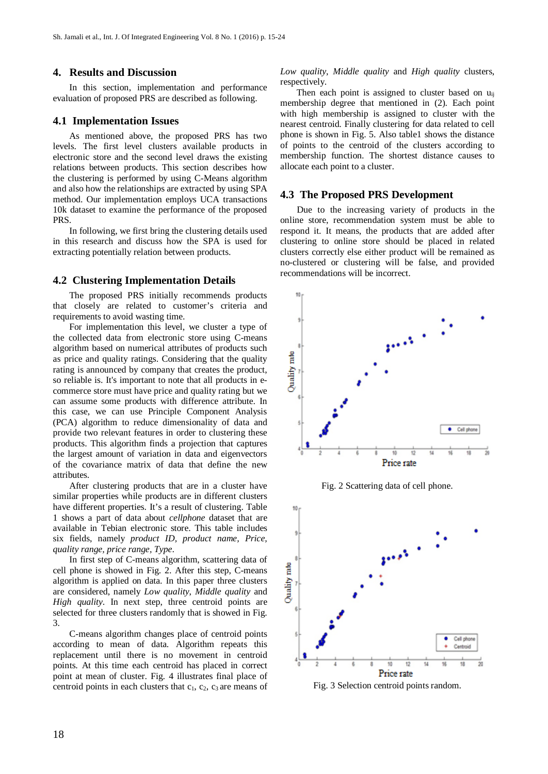## **4. Results and Discussion**

In this section, implementation and performance evaluation of proposed PRS are described as following.

#### **4.1 Implementation Issues**

As mentioned above, the proposed PRS has two levels. The first level clusters available products in electronic store and the second level draws the existing relations between products. This section describes how the clustering is performed by using C-Means algorithm and also how the relationships are extracted by using SPA method. Our implementation employs UCA transactions 10k dataset to examine the performance of the proposed PRS.

In following, we first bring the clustering details used in this research and discuss how the SPA is used for extracting potentially relation between products.

### **4.2 Clustering Implementation Details**

The proposed PRS initially recommends products that closely are related to customer's criteria and requirements to avoid wasting time.

For implementation this level, we cluster a type of the collected data from electronic store using C-means algorithm based on numerical attributes of products such as price and quality ratings. Considering that the quality rating is announced by company that creates the product, so reliable is. It's important to note that all products in ecommerce store must have price and quality rating but we can assume some products with difference attribute. In this case, we can use Principle Component Analysis (PCA) algorithm to reduce dimensionality of data and provide two relevant features in order to clustering these products. This algorithm finds a projection that captures the largest amount of variation in data and eigenvectors of the covariance matrix of data that define the new attributes.

After clustering products that are in a cluster have similar properties while products are in different clusters have different properties. It's a result of clustering. Table 1 shows a part of data about *cellphone* dataset that are available in Tebian electronic store. This table includes six fields, namely *product ID, product name, Price, quality range, price range, Type*.

In first step of C-means algorithm, scattering data of cell phone is showed in Fig. 2. After this step, C-means algorithm is applied on data. In this paper three clusters are considered, namely *Low quality*, *Middle quality* and *High quality*. In next step, three centroid points are selected for three clusters randomly that is showed in Fig. 3.

C-means algorithm changes place of centroid points according to mean of data. Algorithm repeats this replacement until there is no movement in centroid points. At this time each centroid has placed in correct point at mean of cluster. Fig. 4 illustrates final place of centroid points in each clusters that  $c_1$ ,  $c_2$ ,  $c_3$  are means of *Low quality*, *Middle quality* and *High quality* clusters, respectively.

Then each point is assigned to cluster based on  $u_{ii}$ membership degree that mentioned in (2). Each point with high membership is assigned to cluster with the nearest centroid. Finally clustering for data related to cell phone is shown in Fig. 5. Also table1 shows the distance of points to the centroid of the clusters according to membership function. The shortest distance causes to allocate each point to a cluster.

#### **4.3 The Proposed PRS Development**

Due to the increasing variety of products in the online store, recommendation system must be able to respond it. It means, the products that are added after clustering to online store should be placed in related clusters correctly else either product will be remained as no-clustered or clustering will be false, and provided recommendations will be incorrect.



Fig. 2 Scattering data of cell phone.



Fig. 3 Selection centroid points random.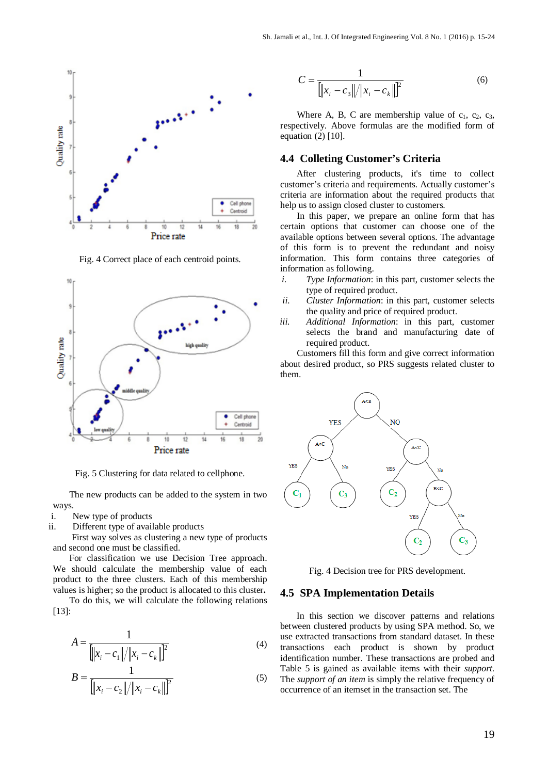

Fig. 4 Correct place of each centroid points.



Fig. 5 Clustering for data related to cellphone.

The new products can be added to the system in two ways.

- i. New type of products
- ii. Different type of available products

First way solves as clustering a new type of products and second one must be classified.

For classification we use Decision Tree approach. We should calculate the membership value of each product to the three clusters. Each of this membership values is higher; so the product is allocated to this cluster**.**

To do this, we will calculate the following relations [13]:

$$
A = \frac{1}{\left\| |x_i - c_1| / \|x_i - c_k\| \right\}^2}
$$
(4)

$$
B = \frac{1}{\left\| |x_i - c_2\| / \|x_i - c_k\| \right\}^2}
$$
(5)

$$
C = \frac{1}{\left\|x_i - c_3\right\| / \|x_i - c_k\|^2}
$$
 (6)

Where A, B, C are membership value of  $c_1$ ,  $c_2$ ,  $c_3$ , respectively. Above formulas are the modified form of equation (2) [10].

#### **4.4 Colleting Customer's Criteria**

After clustering products, it's time to collect customer's criteria and requirements. Actually customer's criteria are information about the required products that help us to assign closed cluster to customers.

In this paper, we prepare an online form that has certain options that customer can choose one of the available options between several options. The advantage of this form is to prevent the redundant and noisy information. This form contains three categories of information as following.

- *i. Type Information*: in this part, customer selects the type of required product.
- *ii. Cluster Information*: in this part, customer selects the quality and price of required product.
- *iii. Additional Information*: in this part, customer selects the brand and manufacturing date of required product.

Customers fill this form and give correct information about desired product, so PRS suggests related cluster to them.



Fig. 4 Decision tree for PRS development.

#### **4.5 SPA Implementation Details**

In this section we discover patterns and relations between clustered products by using SPA method. So, we use extracted transactions from standard dataset. In these transactions each product is shown by product identification number. These transactions are probed and Table 5 is gained as available items with their *support*. The *support of an item* is simply the relative frequency of occurrence of an itemset in the transaction set. The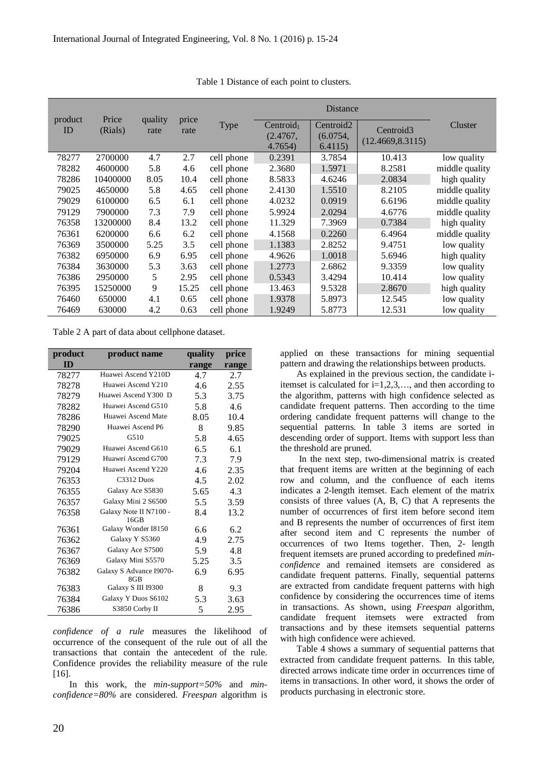|               |                  |                 |               |            | <b>Distance</b>       |                       |                       |                |
|---------------|------------------|-----------------|---------------|------------|-----------------------|-----------------------|-----------------------|----------------|
| product<br>ID | Price<br>(Rials) | quality<br>rate | price<br>rate | Type       | Centroid <sub>1</sub> | Centroid <sub>2</sub> | Centroid <sub>3</sub> | Cluster        |
|               |                  |                 |               |            | (2.4767,              | (6.0754,              | (12.4669, 8.3115)     |                |
|               |                  |                 |               |            | 4.7654)               | 6.4115                |                       |                |
| 78277         | 2700000          | 4.7             | 2.7           | cell phone | 0.2391                | 3.7854                | 10.413                | low quality    |
| 78282         | 4600000          | 5.8             | 4.6           | cell phone | 2.3680                | 1.5971                | 8.2581                | middle quality |
| 78286         | 10400000         | 8.05            | 10.4          | cell phone | 8.5833                | 4.6246                | 2.0834                | high quality   |
| 79025         | 4650000          | 5.8             | 4.65          | cell phone | 2.4130                | 1.5510                | 8.2105                | middle quality |
| 79029         | 6100000          | 6.5             | 6.1           | cell phone | 4.0232                | 0.0919                | 6.6196                | middle quality |
| 79129         | 7900000          | 7.3             | 7.9           | cell phone | 5.9924                | 2.0294                | 4.6776                | middle quality |
| 76358         | 13200000         | 8.4             | 13.2          | cell phone | 11.329                | 7.3969                | 0.7384                | high quality   |
| 76361         | 6200000          | 6.6             | 6.2           | cell phone | 4.1568                | 0.2260                | 6.4964                | middle quality |
| 76369         | 3500000          | 5.25            | 3.5           | cell phone | 1.1383                | 2.8252                | 9.4751                | low quality    |
| 76382         | 6950000          | 6.9             | 6.95          | cell phone | 4.9626                | 1.0018                | 5.6946                | high quality   |
| 76384         | 3630000          | 5.3             | 3.63          | cell phone | 1.2773                | 2.6862                | 9.3359                | low quality    |
| 76386         | 2950000          | 5               | 2.95          | cell phone | 0.5343                | 3.4294                | 10.414                | low quality    |
| 76395         | 15250000         | 9               | 15.25         | cell phone | 13.463                | 9.5328                | 2.8670                | high quality   |
| 76460         | 650000           | 4.1             | 0.65          | cell phone | 1.9378                | 5.8973                | 12.545                | low quality    |
| 76469         | 630000           | 4.2             | 0.63          | cell phone | 1.9249                | 5.8773                | 12.531                | low quality    |

Table 1 Distance of each point to clusters.

Table 2 A part of data about cellphone dataset.

| product | product name                   | quality | price |
|---------|--------------------------------|---------|-------|
| ID      |                                | range   | range |
| 78277   | Huawei Ascend Y210D            | 4.7     | 2.7   |
| 78278   | Huawei Ascend Y210             | 4.6     | 2.55  |
| 78279   | Huawei Ascend Y300 D           | 5.3     | 3.75  |
| 78282   | Huawei Ascend G510             | 5.8     | 4.6   |
| 78286   | Huawei Ascend Mate             | 8.05    | 10.4  |
| 78290   | Huawei Ascend P6               | 8       | 9.85  |
| 79025   | G510                           | 5.8     | 4.65  |
| 79029   | Huawei Ascend G610             | 6.5     | 6.1   |
| 79129   | Huawei Ascend G700             | 7.3     | 7.9   |
| 79204   | Huawei Ascend Y220             | 4.6     | 2.35  |
| 76353   | C <sub>3312</sub> Duos         | 4.5     | 2.02  |
| 76355   | Galaxy Ace S5830               | 5.65    | 4.3   |
| 76357   | Galaxy Mini 2 S6500            | 5.5     | 3.59  |
| 76358   | Galaxy Note II N7100 -         | 8.4     | 13.2  |
|         | 16GB                           |         |       |
| 76361   | Galaxy Wonder I8150            | 6.6     | 6.2   |
| 76362   | Galaxy Y S5360                 | 4.9     | 2.75  |
| 76367   | Galaxy Ace S7500               | 5.9     | 4.8   |
| 76369   | Galaxy Mini S5570              | 5.25    | 3.5   |
| 76382   | Galaxy S Advance I9070-<br>8GB | 6.9     | 6.95  |
| 76383   | Galaxy S III 19300             | 8       | 9.3   |
| 76384   | Galaxy Y Duos S6102            | 5.3     | 3.63  |
| 76386   | S3850 Corby II                 | 5       | 2.95  |

*confidence of a rule* measures the likelihood of occurrence of the consequent of the rule out of all the transactions that contain the antecedent of the rule. Confidence provides the reliability measure of the rule [16].

In this work, the *min-support=50%* and *minconfidence=80%* are considered. *Freespan* algorithm is

applied on these transactions for mining sequential pattern and drawing the relationships between products.

As explained in the previous section, the candidate iitemset is calculated for  $i=1,2,3,...$ , and then according to the algorithm, patterns with high confidence selected as candidate frequent patterns. Then according to the time ordering candidate frequent patterns will change to the sequential patterns. In table 3 items are sorted in descending order of support. Items with support less than the threshold are pruned.

In the next step, two-dimensional matrix is created that frequent items are written at the beginning of each row and column, and the confluence of each items indicates a 2-length itemset. Each element of the matrix consists of three values (A, B, C) that A represents the number of occurrences of first item before second item and B represents the number of occurrences of first item after second item and C represents the number of occurrences of two Items together. Then, 2- length frequent itemsets are pruned according to predefined *minconfidence* and remained itemsets are considered as candidate frequent patterns. Finally, sequential patterns are extracted from candidate frequent patterns with high confidence by considering the occurrences time of items in transactions. As shown, using *Freespan* algorithm, candidate frequent itemsets were extracted from transactions and by these itemsets sequential patterns with high confidence were achieved.

Table 4 shows a summary of sequential patterns that extracted from candidate frequent patterns. In this table, directed arrows indicate time order in occurrences time of items in transactions. In other word, it shows the order of products purchasing in electronic store.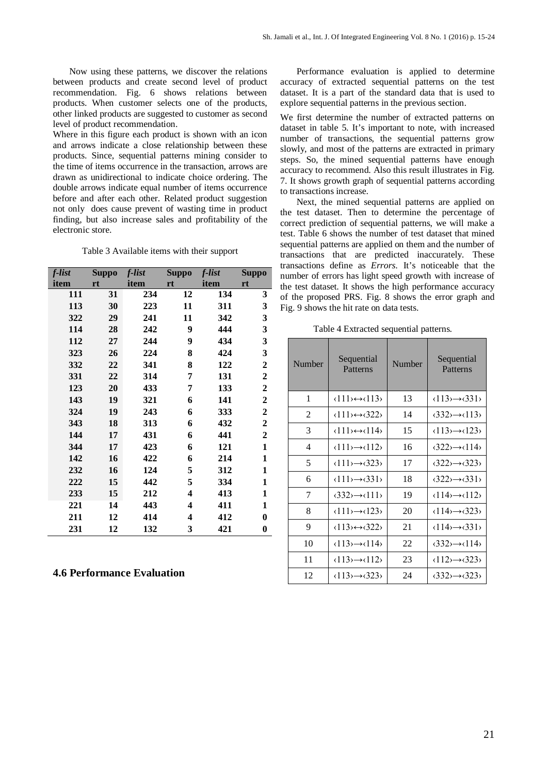Now using these patterns, we discover the relations between products and create second level of product recommendation. Fig. 6 shows relations between products. When customer selects one of the products, other linked products are suggested to customer as second level of product recommendation.

Where in this figure each product is shown with an icon and arrows indicate a close relationship between these products. Since, sequential patterns mining consider to the time of items occurrence in the transaction, arrows are drawn as unidirectional to indicate choice ordering. The double arrows indicate equal number of items occurrence before and after each other. Related product suggestion not only does cause prevent of wasting time in product finding, but also increase sales and profitability of the electronic store.

Table 3 Available items with their support

| f-list | <b>Suppo</b> | f-list | <b>Suppo</b> | f-list | <b>Suppo</b>     |
|--------|--------------|--------|--------------|--------|------------------|
| item   | rt           | item   | rt           | item   | rt               |
| 111    | 31           | 234    | 12           | 134    | 3                |
| 113    | 30           | 223    | 11           | 311    | 3                |
| 322    | 29           | 241    | 11           | 342    | 3                |
| 114    | 28           | 242    | 9            | 444    | 3                |
| 112    | 27           | 244    | 9            | 434    | 3                |
| 323    | 26           | 224    | 8            | 424    | 3                |
| 332    | 22           | 341    | 8            | 122    | $\mathbf{2}$     |
| 331    | 22           | 314    | 7            | 131    | $\mathbf{2}$     |
| 123    | 20           | 433    | 7            | 133    | $\boldsymbol{2}$ |
| 143    | 19           | 321    | 6            | 141    | $\boldsymbol{2}$ |
| 324    | 19           | 243    | 6            | 333    | $\mathbf{2}$     |
| 343    | 18           | 313    | 6            | 432    | $\boldsymbol{2}$ |
| 144    | 17           | 431    | 6            | 441    | $\boldsymbol{2}$ |
| 344    | 17           | 423    | 6            | 121    | 1                |
| 142    | 16           | 422    | 6            | 214    | $\mathbf{1}$     |
| 232    | 16           | 124    | 5            | 312    | 1                |
| 222    | 15           | 442    | 5            | 334    | 1                |
| 233    | 15           | 212    | 4            | 413    | $\mathbf{1}$     |
| 221    | 14           | 443    | 4            | 411    | 1                |
| 211    | 12           | 414    | 4            | 412    | $\bf{0}$         |
| 231    | 12           | 132    | 3            | 421    | 0                |

# **4.6 Performance Evaluation**

Performance evaluation is applied to determine accuracy of extracted sequential patterns on the test dataset. It is a part of the standard data that is used to explore sequential patterns in the previous section.

We first determine the number of extracted patterns on dataset in table 5. It's important to note, with increased number of transactions, the sequential patterns grow slowly, and most of the patterns are extracted in primary steps. So, the mined sequential patterns have enough accuracy to recommend. Also this result illustrates in Fig. 7. It shows growth graph of sequential patterns according to transactions increase.

Next, the mined sequential patterns are applied on the test dataset. Then to determine the percentage of correct prediction of sequential patterns, we will make a test. Table 6 shows the number of test dataset that mined sequential patterns are applied on them and the number of transactions that are predicted inaccurately. These transactions define as *Errors*. It's noticeable that the number of errors has light speed growth with increase of the test dataset. It shows the high performance accuracy of the proposed PRS. Fig. 8 shows the error graph and Fig. 9 shows the hit rate on data tests.

Table 4 Extracted sequential patterns.

| Number | Sequential<br>Patterns                                    | Number | Sequential<br>Patterns                                |
|--------|-----------------------------------------------------------|--------|-------------------------------------------------------|
| 1      | $\langle 111 \rangle \leftrightarrow \langle 113 \rangle$ | 13     | $\langle 113 \rangle \rightarrow \langle 331 \rangle$ |
| 2      | $\langle 111 \rangle \leftrightarrow \langle 322 \rangle$ | 14     | $\langle 332 \rangle \rightarrow \langle 113 \rangle$ |
| 3      | $\langle 111 \rangle \leftrightarrow \langle 114 \rangle$ | 15     | $\langle 113 \rangle \rightarrow \langle 123 \rangle$ |
| 4      | $\langle 111 \rangle \rightarrow \langle 112 \rangle$     | 16     | $(322) \rightarrow (114)$                             |
| 5      | $\langle 111 \rangle \rightarrow \langle 323 \rangle$     | 17     | $(322) \rightarrow (323)$                             |
| 6      | $\langle 111 \rangle \rightarrow \langle 331 \rangle$     | 18     | $\langle 322 \rangle \rightarrow \langle 331 \rangle$ |
| 7      | $\langle 332 \rangle \rightarrow \langle 111 \rangle$     | 19     | $\langle 114 \rangle \rightarrow \langle 112 \rangle$ |
| 8      | $\langle 111 \rangle \rightarrow \langle 123 \rangle$     | 20     | $\langle 114 \rangle \rightarrow \langle 323 \rangle$ |
| 9      | $\langle 113 \rangle \leftrightarrow \langle 322 \rangle$ | 21     | $\langle 114 \rangle \rightarrow \langle 331 \rangle$ |
| 10     | $\langle 113 \rangle \rightarrow \langle 114 \rangle$     | 22     | $\langle 332 \rangle \rightarrow \langle 114 \rangle$ |
| 11     | $\langle 113 \rangle \rightarrow \langle 112 \rangle$     | 23     | $\langle 112 \rangle \rightarrow \langle 323 \rangle$ |
| 12     | $\langle 113 \rangle \rightarrow \langle 323 \rangle$     | 24     | $\langle 332 \rangle \rightarrow \langle 323 \rangle$ |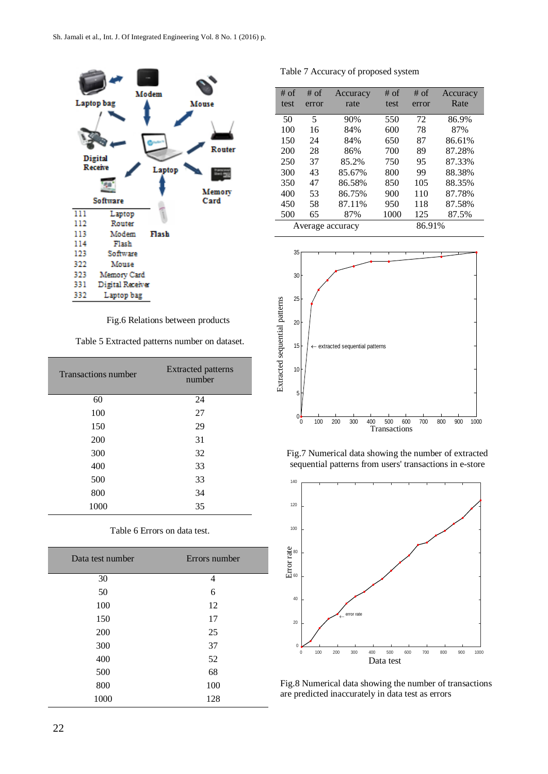

Fig.6 Relations between products

Table 5 Extracted patterns number on dataset.

| <b>Transactions number</b> | <b>Extracted patterns</b><br>number |
|----------------------------|-------------------------------------|
| 60                         | 24                                  |
| 100                        | 27                                  |
| 150                        | 29                                  |
| 200                        | 31                                  |
| 300                        | 32                                  |
| 400                        | 33                                  |
| 500                        | 33                                  |
| 800                        | 34                                  |
| 1000                       | 35                                  |

| Data test number | Errors number |
|------------------|---------------|
| 30               | 4             |
| 50               | 6             |
| 100              | 12            |
| 150              | 17            |
| 200              | 25            |
| 300              | 37            |
| 400              | 52            |
| 500              | 68            |
| 800              | 100           |
| 1000             | 128           |
|                  |               |

|  |  | Table 6 Errors on data test. |  |  |  |
|--|--|------------------------------|--|--|--|
|--|--|------------------------------|--|--|--|

| Table 7 Accuracy of proposed system |  |                                            |  |  |  |
|-------------------------------------|--|--------------------------------------------|--|--|--|
|                                     |  | $\#$ of $\#$ of Accuracy $\#$ of $\#$ of A |  |  |  |

| $#$ of           | $#$ of | Accuracy | $#$ of | $#$ of | Accuracy |
|------------------|--------|----------|--------|--------|----------|
| test             | error  | rate     | test   | error  | Rate     |
|                  |        |          |        |        |          |
| 50               | 5      | 90%      | 550    | 72     | 86.9%    |
| 100              | 16     | 84%      | 600    | 78     | 87%      |
| 150              | 24     | 84%      | 650    | 87     | 86.61%   |
| 200              | 28     | 86%      | 700    | 89     | 87.28%   |
| 250              | 37     | 85.2%    | 750    | 95     | 87.33%   |
| 300              | 43     | 85.67%   | 800    | 99     | 88.38%   |
| 350              | 47     | 86.58%   | 850    | 105    | 88.35%   |
| 400              | 53     | 86.75%   | 900    | 110    | 87.78%   |
| 450              | 58     | 87.11%   | 950    | 118    | 87.58%   |
| 500              | 65     | 87%      | 1000   | 125    | 87.5%    |
| Average accuracy |        |          |        | 86.91% |          |



Fig.7 Numerical data showing the number of extracted sequential patterns from users' transactions in e-store



Fig.8 Numerical data showing the number of transactions are predicted inaccurately in data test as errors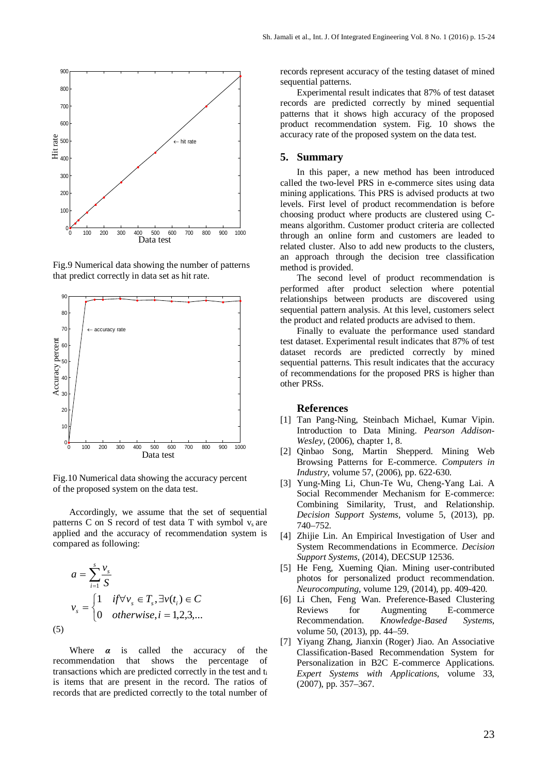

Fig.9 Numerical data showing the number of patterns that predict correctly in data set as hit rate.



Fig.10 Numerical data showing the accuracy percent of the proposed system on the data test.

Accordingly, we assume that the set of sequential patterns C on S record of test data T with symbol vs are applied and the accuracy of recommendation system is compared as following:

$$
a = \sum_{i=1}^{s} \frac{v_s}{S}
$$
  

$$
v_s = \begin{cases} 1 & \text{if } \forall v_s \in T_s, \exists v(t_i) \in C \\ 0 & \text{otherwise, } i = 1, 2, 3, \dots \end{cases}
$$
  
(5)

Where  $\alpha$  is called the accuracy of the recommendation that shows the percentage of transactions which are predicted correctly in the test and ti is items that are present in the record. The ratios of records that are predicted correctly to the total number of records represent accuracy of the testing dataset of mined sequential patterns.

Experimental result indicates that 87% of test dataset records are predicted correctly by mined sequential patterns that it shows high accuracy of the proposed product recommendation system. Fig. 10 shows the accuracy rate of the proposed system on the data test.

#### **5. Summary**

In this paper, a new method has been introduced called the two-level PRS in e-commerce sites using data mining applications. This PRS is advised products at two levels. First level of product recommendation is before choosing product where products are clustered using Cmeans algorithm. Customer product criteria are collected through an online form and customers are leaded to related cluster. Also to add new products to the clusters, an approach through the decision tree classification method is provided.

The second level of product recommendation is performed after product selection where potential relationships between products are discovered using sequential pattern analysis. At this level, customers select the product and related products are advised to them.

Finally to evaluate the performance used standard test dataset. Experimental result indicates that 87% of test dataset records are predicted correctly by mined sequential patterns. This result indicates that the accuracy of recommendations for the proposed PRS is higher than other PRSs.

## **References**

- [1] Tan Pang-Ning, Steinbach Michael, Kumar Vipin. Introduction to Data Mining. *Pearson Addison-Wesley,* (2006), chapter 1, 8.
- [2] Qinbao Song, Martin Shepperd. Mining Web Browsing Patterns for E-commerce. *Computers in Industry,* volume 57, (2006), pp. 622-630.
- [3] Yung-Ming Li, Chun-Te Wu, Cheng-Yang Lai. A Social Recommender Mechanism for E-commerce: Combining Similarity, Trust, and Relationship. *Decision Support Systems,* volume 5, (2013), pp. 740–752.
- [4] Zhijie Lin. An Empirical Investigation of User and System Recommendations in Ecommerce. *Decision Support Systems,* (2014), DECSUP 12536.
- [5] He Feng, Xueming Qian. Mining user-contributed photos for personalized product recommendation. *Neurocomputing,* volume 129, (2014), pp. 409-420.
- [6] Li Chen, Feng Wan. Preference-Based Clustering Reviews for Augmenting E-commerce Recommendation. *Knowledge-Based Systems,* volume 50, (2013), pp. 44–59.
- [7] Yiyang Zhang, Jianxin (Roger) Jiao. An Associative Classification-Based Recommendation System for Personalization in B2C E-commerce Applications. *Expert Systems with Applications*, volume 33, (2007), pp. 357–367.